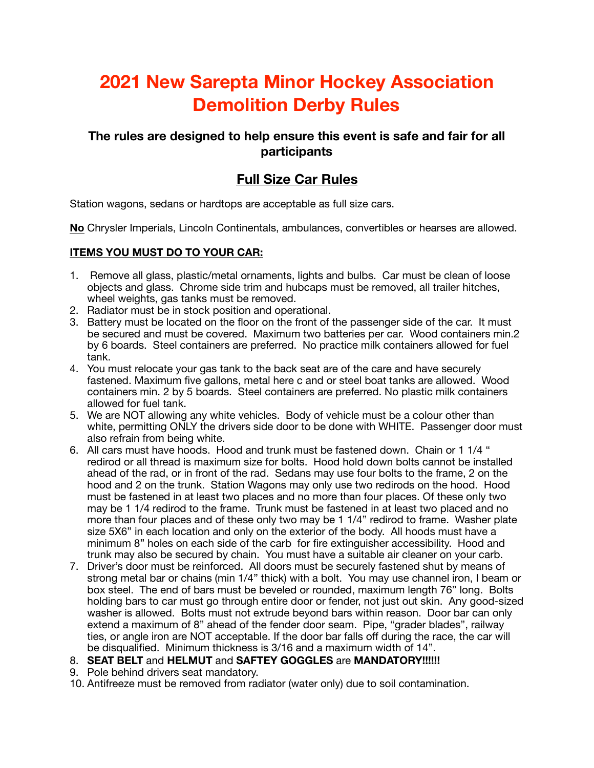# **2021 New Sarepta Minor Hockey Association Demolition Derby Rules**

## **The rules are designed to help ensure this event is safe and fair for all participants**

# **Full Size Car Rules**

Station wagons, sedans or hardtops are acceptable as full size cars.

**No** Chrysler Imperials, Lincoln Continentals, ambulances, convertibles or hearses are allowed.

#### **ITEMS YOU MUST DO TO YOUR CAR:**

- 1. Remove all glass, plastic/metal ornaments, lights and bulbs. Car must be clean of loose objects and glass. Chrome side trim and hubcaps must be removed, all trailer hitches, wheel weights, gas tanks must be removed.
- 2. Radiator must be in stock position and operational.
- 3. Battery must be located on the floor on the front of the passenger side of the car. It must be secured and must be covered. Maximum two batteries per car. Wood containers min.2 by 6 boards. Steel containers are preferred. No practice milk containers allowed for fuel tank.
- 4. You must relocate your gas tank to the back seat are of the care and have securely fastened. Maximum five gallons, metal here c and or steel boat tanks are allowed. Wood containers min. 2 by 5 boards. Steel containers are preferred. No plastic milk containers allowed for fuel tank.
- 5. We are NOT allowing any white vehicles. Body of vehicle must be a colour other than white, permitting ONLY the drivers side door to be done with WHITE. Passenger door must also refrain from being white.
- 6. All cars must have hoods. Hood and trunk must be fastened down. Chain or 1 1/4 " redirod or all thread is maximum size for bolts. Hood hold down bolts cannot be installed ahead of the rad, or in front of the rad. Sedans may use four bolts to the frame, 2 on the hood and 2 on the trunk. Station Wagons may only use two redirods on the hood. Hood must be fastened in at least two places and no more than four places. Of these only two may be 1 1/4 redirod to the frame. Trunk must be fastened in at least two placed and no more than four places and of these only two may be 1 1/4" redirod to frame. Washer plate size 5X6" in each location and only on the exterior of the body. All hoods must have a minimum 8" holes on each side of the carb for fire extinguisher accessibility. Hood and trunk may also be secured by chain. You must have a suitable air cleaner on your carb.
- 7. Driver's door must be reinforced. All doors must be securely fastened shut by means of strong metal bar or chains (min 1/4" thick) with a bolt. You may use channel iron, I beam or box steel. The end of bars must be beveled or rounded, maximum length 76" long. Bolts holding bars to car must go through entire door or fender, not just out skin. Any good-sized washer is allowed. Bolts must not extrude beyond bars within reason. Door bar can only extend a maximum of 8" ahead of the fender door seam. Pipe, "grader blades", railway ties, or angle iron are NOT acceptable. If the door bar falls off during the race, the car will be disqualified. Minimum thickness is 3/16 and a maximum width of 14".
- 8. **SEAT BELT** and **HELMUT** and **SAFTEY GOGGLES** are **MANDATORY!!!!!!**
- 9. Pole behind drivers seat mandatory.
- 10. Antifreeze must be removed from radiator (water only) due to soil contamination.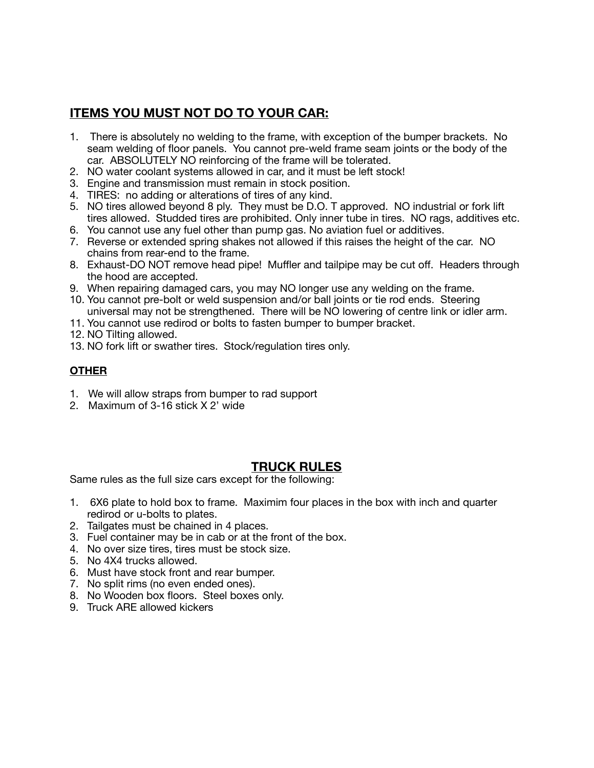### **ITEMS YOU MUST NOT DO TO YOUR CAR:**

- 1. There is absolutely no welding to the frame, with exception of the bumper brackets. No seam welding of floor panels. You cannot pre-weld frame seam joints or the body of the car. ABSOLUTELY NO reinforcing of the frame will be tolerated.
- 2. NO water coolant systems allowed in car, and it must be left stock!
- 3. Engine and transmission must remain in stock position.
- 4. TIRES: no adding or alterations of tires of any kind.
- 5. NO tires allowed beyond 8 ply. They must be D.O. T approved. NO industrial or fork lift tires allowed. Studded tires are prohibited. Only inner tube in tires. NO rags, additives etc.
- 6. You cannot use any fuel other than pump gas. No aviation fuel or additives.
- 7. Reverse or extended spring shakes not allowed if this raises the height of the car. NO chains from rear-end to the frame.
- 8. Exhaust-DO NOT remove head pipe! Muffler and tailpipe may be cut off. Headers through the hood are accepted.
- 9. When repairing damaged cars, you may NO longer use any welding on the frame.
- 10. You cannot pre-bolt or weld suspension and/or ball joints or tie rod ends. Steering universal may not be strengthened. There will be NO lowering of centre link or idler arm.
- 11. You cannot use redirod or bolts to fasten bumper to bumper bracket.
- 12. NO Tilting allowed.
- 13. NO fork lift or swather tires. Stock/regulation tires only.

#### **OTHER**

- 1. We will allow straps from bumper to rad support
- 2. Maximum of 3-16 stick X 2' wide

#### **TRUCK RULES**

Same rules as the full size cars except for the following:

- 1. 6X6 plate to hold box to frame. Maximim four places in the box with inch and quarter redirod or u-bolts to plates.
- 2. Tailgates must be chained in 4 places.
- 3. Fuel container may be in cab or at the front of the box.
- 4. No over size tires, tires must be stock size.
- 5. No 4X4 trucks allowed.
- 6. Must have stock front and rear bumper.
- 7. No split rims (no even ended ones).
- 8. No Wooden box floors. Steel boxes only.
- 9. Truck ARE allowed kickers